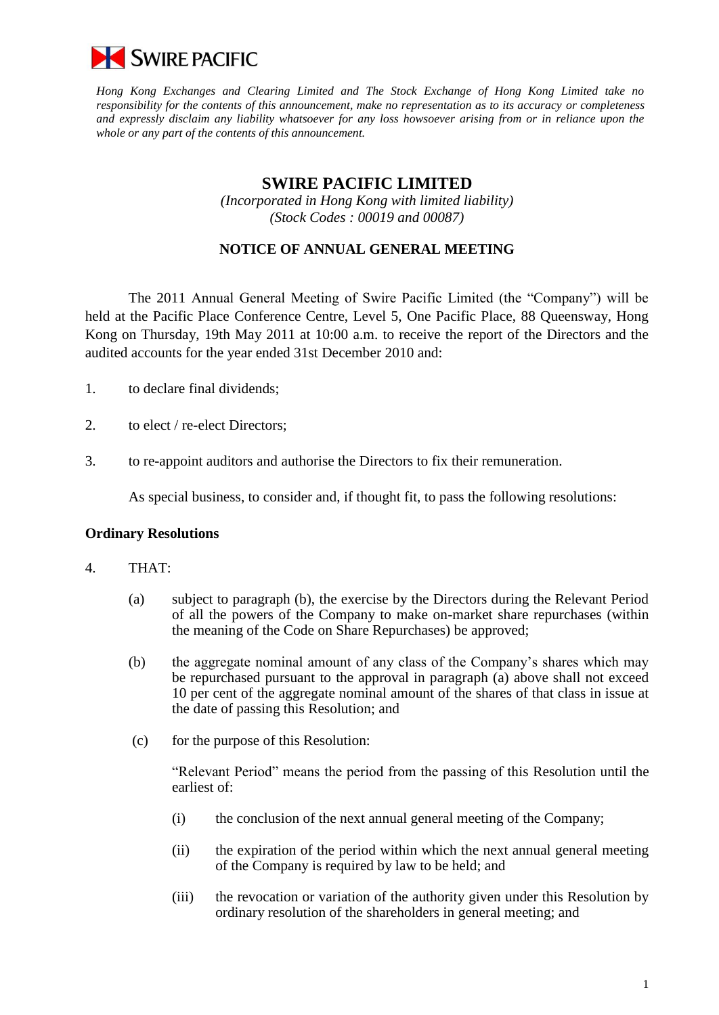

*Hong Kong Exchanges and Clearing Limited and The Stock Exchange of Hong Kong Limited take no responsibility for the contents of this announcement, make no representation as to its accuracy or completeness and expressly disclaim any liability whatsoever for any loss howsoever arising from or in reliance upon the whole or any part of the contents of this announcement.*

# **SWIRE PACIFIC LIMITED**

*(Incorporated in Hong Kong with limited liability) (Stock Codes : 00019 and 00087)*

## **NOTICE OF ANNUAL GENERAL MEETING**

The 2011 Annual General Meeting of Swire Pacific Limited (the "Company") will be held at the Pacific Place Conference Centre, Level 5, One Pacific Place, 88 Queensway, Hong Kong on Thursday, 19th May 2011 at 10:00 a.m. to receive the report of the Directors and the audited accounts for the year ended 31st December 2010 and:

- 1. to declare final dividends;
- 2. to elect / re-elect Directors;
- 3. to re-appoint auditors and authorise the Directors to fix their remuneration.

As special business, to consider and, if thought fit, to pass the following resolutions:

#### **Ordinary Resolutions**

#### 4. THAT:

- (a) subject to paragraph (b), the exercise by the Directors during the Relevant Period of all the powers of the Company to make on-market share repurchases (within the meaning of the Code on Share Repurchases) be approved;
- (b) the aggregate nominal amount of any class of the Company"s shares which may be repurchased pursuant to the approval in paragraph (a) above shall not exceed 10 per cent of the aggregate nominal amount of the shares of that class in issue at the date of passing this Resolution; and
- (c) for the purpose of this Resolution:

"Relevant Period" means the period from the passing of this Resolution until the earliest of:

- (i) the conclusion of the next annual general meeting of the Company;
- (ii) the expiration of the period within which the next annual general meeting of the Company is required by law to be held; and
- (iii) the revocation or variation of the authority given under this Resolution by ordinary resolution of the shareholders in general meeting; and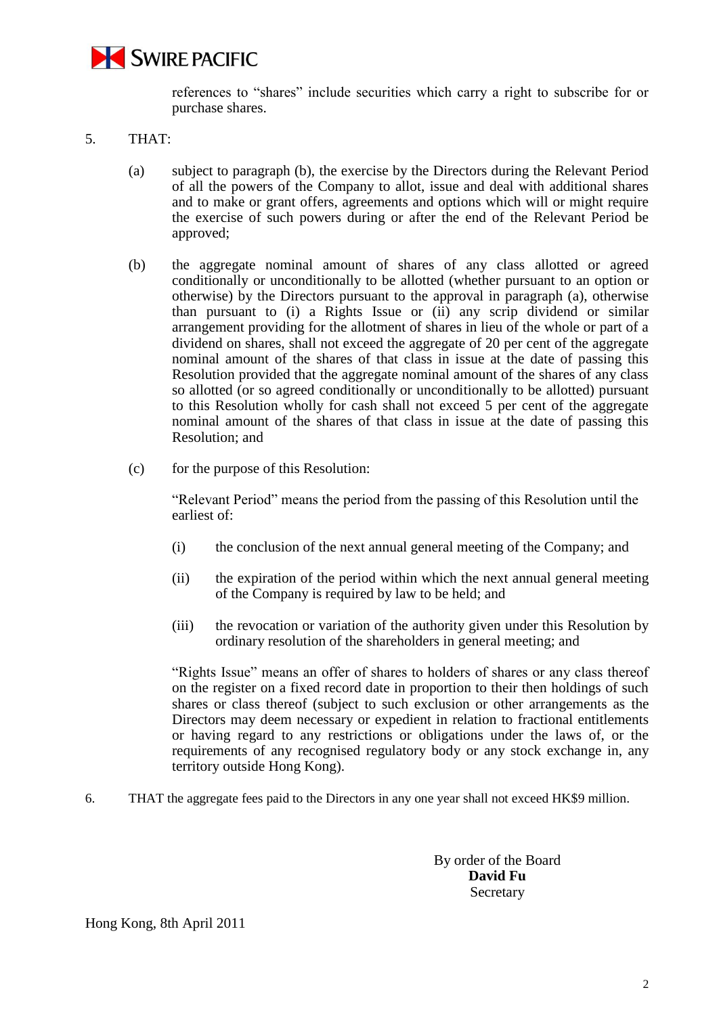

references to "shares" include securities which carry a right to subscribe for or purchase shares.

- 5. THAT:
	- (a) subject to paragraph (b), the exercise by the Directors during the Relevant Period of all the powers of the Company to allot, issue and deal with additional shares and to make or grant offers, agreements and options which will or might require the exercise of such powers during or after the end of the Relevant Period be approved;
	- (b) the aggregate nominal amount of shares of any class allotted or agreed conditionally or unconditionally to be allotted (whether pursuant to an option or otherwise) by the Directors pursuant to the approval in paragraph (a), otherwise than pursuant to (i) a Rights Issue or (ii) any scrip dividend or similar arrangement providing for the allotment of shares in lieu of the whole or part of a dividend on shares, shall not exceed the aggregate of 20 per cent of the aggregate nominal amount of the shares of that class in issue at the date of passing this Resolution provided that the aggregate nominal amount of the shares of any class so allotted (or so agreed conditionally or unconditionally to be allotted) pursuant to this Resolution wholly for cash shall not exceed 5 per cent of the aggregate nominal amount of the shares of that class in issue at the date of passing this Resolution; and
	- (c) for the purpose of this Resolution:

"Relevant Period" means the period from the passing of this Resolution until the earliest of:

- (i) the conclusion of the next annual general meeting of the Company; and
- (ii) the expiration of the period within which the next annual general meeting of the Company is required by law to be held; and
- (iii) the revocation or variation of the authority given under this Resolution by ordinary resolution of the shareholders in general meeting; and

"Rights Issue" means an offer of shares to holders of shares or any class thereof on the register on a fixed record date in proportion to their then holdings of such shares or class thereof (subject to such exclusion or other arrangements as the Directors may deem necessary or expedient in relation to fractional entitlements or having regard to any restrictions or obligations under the laws of, or the requirements of any recognised regulatory body or any stock exchange in, any territory outside Hong Kong).

6. THAT the aggregate fees paid to the Directors in any one year shall not exceed HK\$9 million.

By order of the Board **David Fu**  Secretary

Hong Kong, 8th April 2011